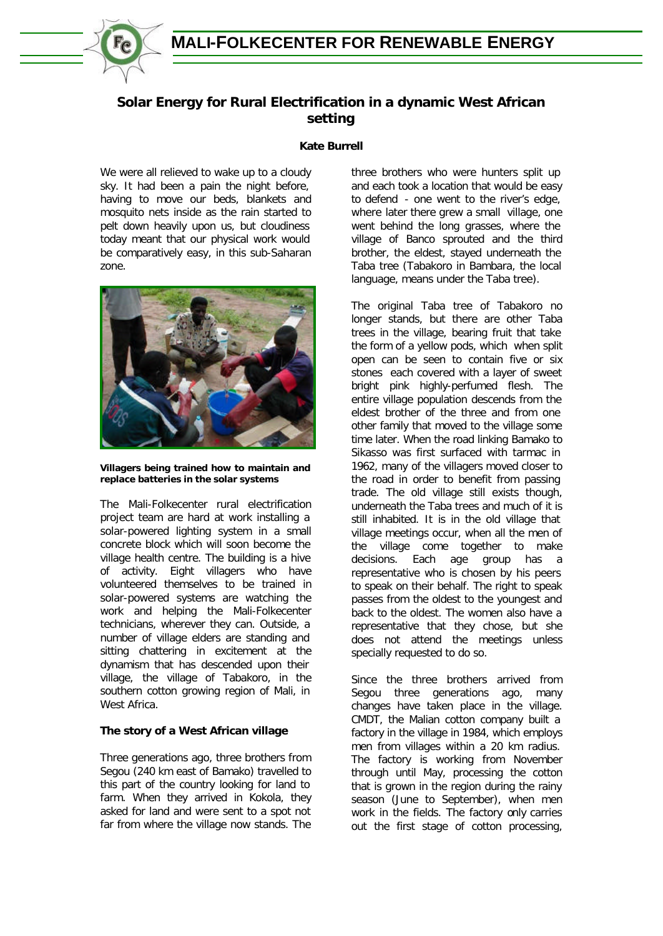

# **Solar Energy for Rural Electrification in a dynamic West African setting**

# **Kate Burrell**

We were all relieved to wake up to a cloudy sky. It had been a pain the night before, having to move our beds, blankets and mosquito nets inside as the rain started to pelt down heavily upon us, but cloudiness today meant that our physical work would be comparatively easy, in this sub-Saharan zone.



**Villagers being trained how to maintain and replace batteries in the solar systems**

The Mali-Folkecenter rural electrification project team are hard at work installing a solar-powered lighting system in a small concrete block which will soon become the village health centre. The building is a hive of activity. Eight villagers who have volunteered themselves to be trained in solar-powered systems are watching the work and helping the Mali-Folkecenter technicians, wherever they can. Outside, a number of village elders are standing and sitting chattering in excitement at the dynamism that has descended upon their village, the village of Tabakoro, in the southern cotton growing region of Mali, in West Africa.

# **The story of a West African village**

Three generations ago, three brothers from Segou (240 km east of Bamako) travelled to this part of the country looking for land to farm. When they arrived in Kokola, they asked for land and were sent to a spot not far from where the village now stands. The three brothers who were hunters split up and each took a location that would be easy to defend - one went to the river's edge, where later there grew a small village, one went behind the long grasses, where the village of Banco sprouted and the third brother, the eldest, stayed underneath the Taba tree (Tabakoro in Bambara, the local language, means under the Taba tree).

The original Taba tree of Tabakoro no longer stands, but there are other Taba trees in the village, bearing fruit that take the form of a yellow pods, which when split open can be seen to contain five or six stones each covered with a layer of sweet bright pink highly-perfumed flesh. The entire village population descends from the eldest brother of the three and from one other family that moved to the village some time later. When the road linking Bamako to Sikasso was first surfaced with tarmac in 1962, many of the villagers moved closer to the road in order to benefit from passing trade. The old village still exists though, underneath the Taba trees and much of it is still inhabited. It is in the old village that village meetings occur, when all the men of the village come together to make decisions. Each age group has a representative who is chosen by his peers to speak on their behalf. The right to speak passes from the oldest to the youngest and back to the oldest. The women also have a representative that they chose, but she does not attend the meetings unless specially requested to do so.

Since the three brothers arrived from Segou three generations ago, many changes have taken place in the village. CMDT, the Malian cotton company built a factory in the village in 1984, which employs men from villages within a 20 km radius. The factory is working from November through until May, processing the cotton that is grown in the region during the rainy season (June to September), when men work in the fields. The factory only carries out the first stage of cotton processing,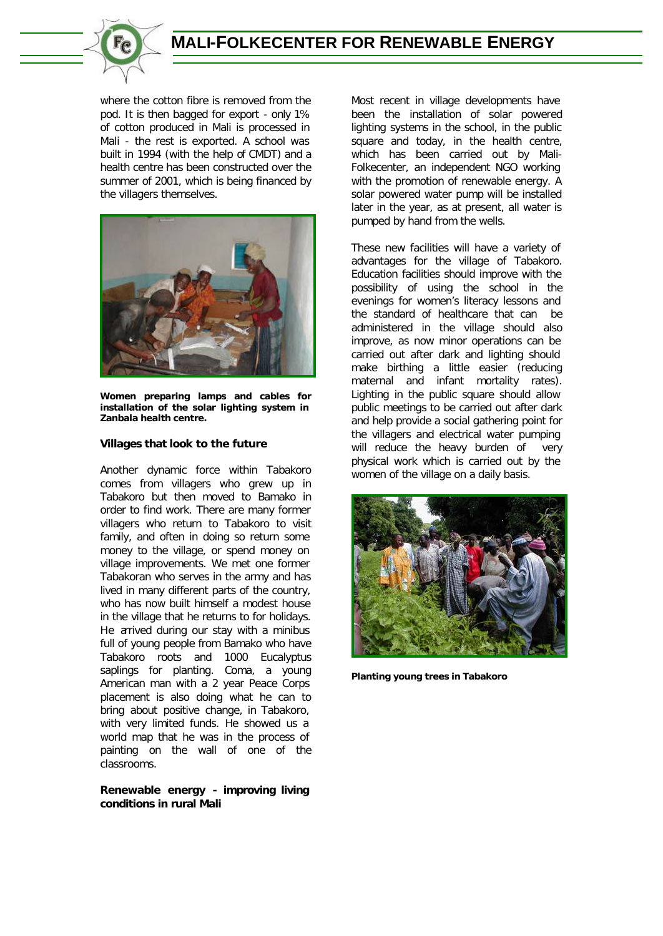

where the cotton fibre is removed from the pod. It is then bagged for export - only 1% of cotton produced in Mali is processed in Mali - the rest is exported. A school was built in 1994 (with the help of CMDT) and a health centre has been constructed over the summer of 2001, which is being financed by the villagers themselves.



**Women preparing lamps and cables for installation of the solar lighting system in Zanbala health centre.**

### **Villages that look to the future**

Another dynamic force within Tabakoro comes from villagers who grew up in Tabakoro but then moved to Bamako in order to find work. There are many former villagers who return to Tabakoro to visit family, and often in doing so return some money to the village, or spend money on village improvements. We met one former Tabakoran who serves in the army and has lived in many different parts of the country, who has now built himself a modest house in the village that he returns to for holidays. He arrived during our stay with a minibus full of young people from Bamako who have Tabakoro roots and 1000 Eucalyptus saplings for planting. Coma, a young American man with a 2 year Peace Corps placement is also doing what he can to bring about positive change, in Tabakoro, with very limited funds. He showed us a world map that he was in the process of painting on the wall of one of the classrooms.

## **Renewable energy - improving living conditions in rural Mali**

Most recent in village developments have been the installation of solar powered lighting systems in the school, in the public square and today, in the health centre, which has been carried out by Mali-Folkecenter, an independent NGO working with the promotion of renewable energy. A solar powered water pump will be installed later in the year, as at present, all water is pumped by hand from the wells.

These new facilities will have a variety of advantages for the village of Tabakoro. Education facilities should improve with the possibility of using the school in the evenings for women's literacy lessons and the standard of healthcare that can be administered in the village should also improve, as now minor operations can be carried out after dark and lighting should make birthing a little easier (reducing maternal and infant mortality rates). Lighting in the public square should allow public meetings to be carried out after dark and help provide a social gathering point for the villagers and electrical water pumping will reduce the heavy burden of very physical work which is carried out by the women of the village on a daily basis.



**Planting young trees in Tabakoro**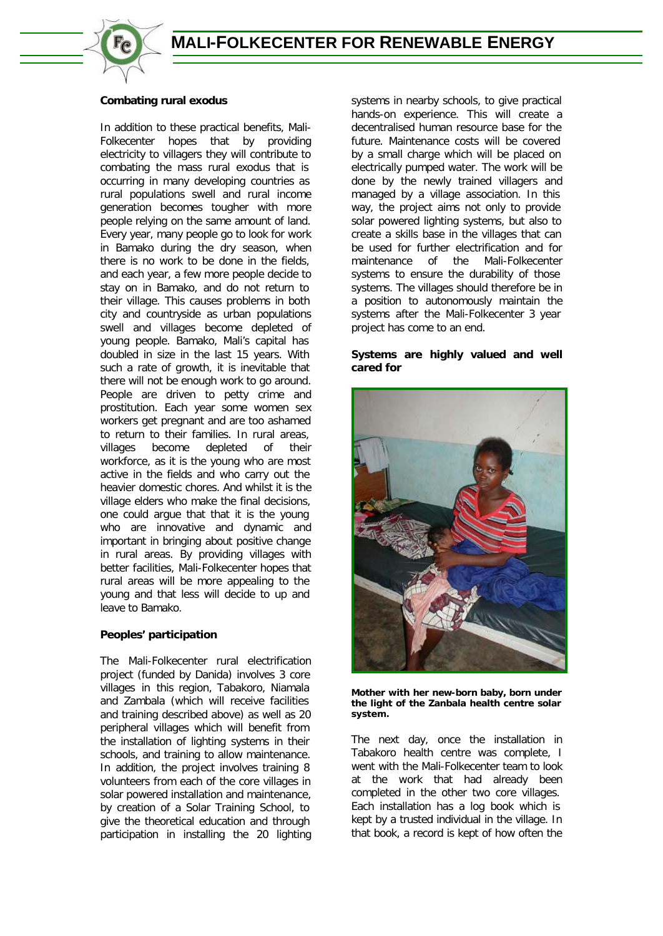

## **Combating rural exodus**

In addition to these practical benefits, Mali-Folkecenter hopes that by providing electricity to villagers they will contribute to combating the mass rural exodus that is occurring in many developing countries as rural populations swell and rural income generation becomes tougher with more people relying on the same amount of land. Every year, many people go to look for work in Bamako during the dry season, when there is no work to be done in the fields, and each year, a few more people decide to stay on in Bamako, and do not return to their village. This causes problems in both city and countryside as urban populations swell and villages become depleted of young people. Bamako, Mali's capital has doubled in size in the last 15 years. With such a rate of growth, it is inevitable that there will not be enough work to go around. People are driven to petty crime and prostitution. Each year some women sex workers get pregnant and are too ashamed to return to their families. In rural areas, villages become depleted of their workforce, as it is the young who are most active in the fields and who carry out the heavier domestic chores. And whilst it is the village elders who make the final decisions, one could argue that that it is the young who are innovative and dynamic and important in bringing about positive change in rural areas. By providing villages with better facilities, Mali-Folkecenter hopes that rural areas will be more appealing to the young and that less will decide to up and leave to Bamako.

# **Peoples' participation**

The Mali-Folkecenter rural electrification project (funded by Danida) involves 3 core villages in this region, Tabakoro, Niamala and Zambala (which will receive facilities and training described above) as well as 20 peripheral villages which will benefit from the installation of lighting systems in their schools, and training to allow maintenance. In addition, the project involves training 8 volunteers from each of the core villages in solar powered installation and maintenance, by creation of a Solar Training School, to give the theoretical education and through participation in installing the 20 lighting systems in nearby schools, to give practical hands-on experience. This will create a decentralised human resource base for the future. Maintenance costs will be covered by a small charge which will be placed on electrically pumped water. The work will be done by the newly trained villagers and managed by a village association. In this way, the project aims not only to provide solar powered lighting systems, but also to create a skills base in the villages that can be used for further electrification and for maintenance of the Mali-Folkecenter systems to ensure the durability of those systems. The villages should therefore be in a position to autonomously maintain the systems after the Mali-Folkecenter 3 year project has come to an end.

## **Systems are highly valued and well cared for**



**Mother with her new-born baby, born under the light of the Zanbala health centre solar system.**

The next day, once the installation in Tabakoro health centre was complete, I went with the Mali-Folkecenter team to look at the work that had already been completed in the other two core villages. Each installation has a log book which is kept by a trusted individual in the village. In that book, a record is kept of how often the